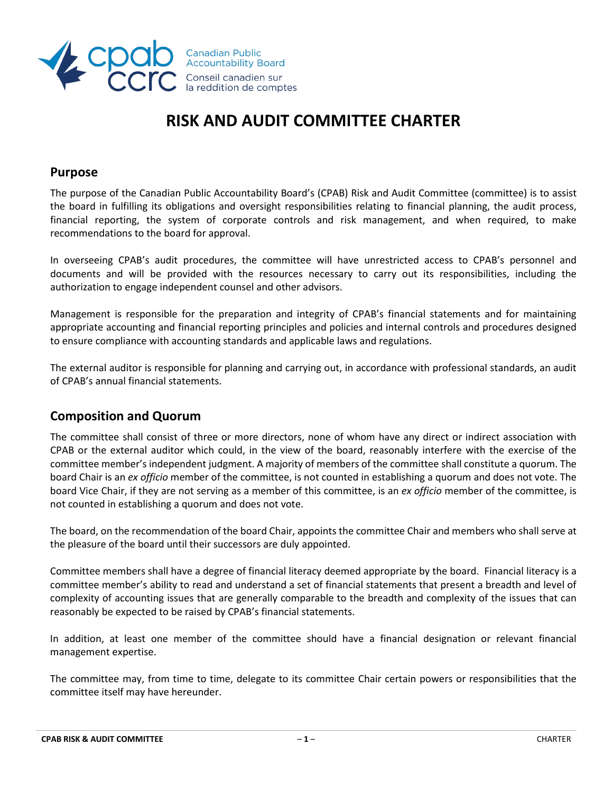

# **RISK AND AUDIT COMMITTEE CHARTER**

## **Purpose**

The purpose of the Canadian Public Accountability Board's (CPAB) Risk and Audit Committee (committee) is to assist the board in fulfilling its obligations and oversight responsibilities relating to financial planning, the audit process, financial reporting, the system of corporate controls and risk management, and when required, to make recommendations to the board for approval.

In overseeing CPAB's audit procedures, the committee will have unrestricted access to CPAB's personnel and documents and will be provided with the resources necessary to carry out its responsibilities, including the authorization to engage independent counsel and other advisors.

Management is responsible for the preparation and integrity of CPAB's financial statements and for maintaining appropriate accounting and financial reporting principles and policies and internal controls and procedures designed to ensure compliance with accounting standards and applicable laws and regulations.

The external auditor is responsible for planning and carrying out, in accordance with professional standards, an audit of CPAB's annual financial statements.

# **Composition and Quorum**

The committee shall consist of three or more directors, none of whom have any direct or indirect association with CPAB or the external auditor which could, in the view of the board, reasonably interfere with the exercise of the committee member's independent judgment. A majority of members of the committee shall constitute a quorum. The board Chair is an *ex officio* member of the committee, is not counted in establishing a quorum and does not vote. The board Vice Chair, if they are not serving as a member of this committee, is an *ex officio* member of the committee, is not counted in establishing a quorum and does not vote.

The board, on the recommendation of the board Chair, appoints the committee Chair and members who shall serve at the pleasure of the board until their successors are duly appointed.

Committee members shall have a degree of financial literacy deemed appropriate by the board. Financial literacy is a committee member's ability to read and understand a set of financial statements that present a breadth and level of complexity of accounting issues that are generally comparable to the breadth and complexity of the issues that can reasonably be expected to be raised by CPAB's financial statements.

In addition, at least one member of the committee should have a financial designation or relevant financial management expertise.

The committee may, from time to time, delegate to its committee Chair certain powers or responsibilities that the committee itself may have hereunder.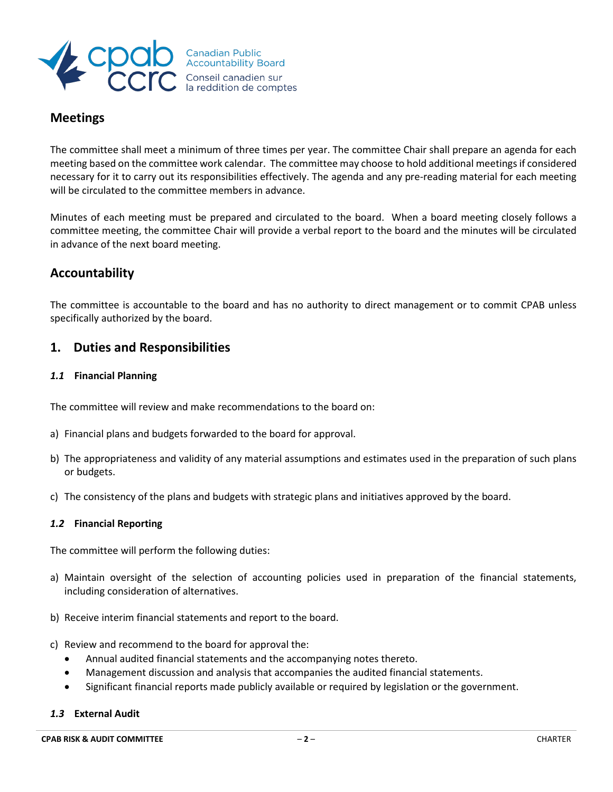

# **Meetings**

The committee shall meet a minimum of three times per year. The committee Chair shall prepare an agenda for each meeting based on the committee work calendar. The committee may choose to hold additional meetings if considered necessary for it to carry out its responsibilities effectively. The agenda and any pre-reading material for each meeting will be circulated to the committee members in advance.

Minutes of each meeting must be prepared and circulated to the board. When a board meeting closely follows a committee meeting, the committee Chair will provide a verbal report to the board and the minutes will be circulated in advance of the next board meeting.

# **Accountability**

The committee is accountable to the board and has no authority to direct management or to commit CPAB unless specifically authorized by the board.

# **1. Duties and Responsibilities**

## *1.1* **Financial Planning**

The committee will review and make recommendations to the board on:

- a) Financial plans and budgets forwarded to the board for approval.
- b) The appropriateness and validity of any material assumptions and estimates used in the preparation of such plans or budgets.
- c) The consistency of the plans and budgets with strategic plans and initiatives approved by the board.

## *1.2* **Financial Reporting**

The committee will perform the following duties:

- a) Maintain oversight of the selection of accounting policies used in preparation of the financial statements, including consideration of alternatives.
- b) Receive interim financial statements and report to the board.
- c) Review and recommend to the board for approval the:
	- Annual audited financial statements and the accompanying notes thereto.
	- Management discussion and analysis that accompanies the audited financial statements.
	- Significant financial reports made publicly available or required by legislation or the government.

#### *1.3* **External Audit**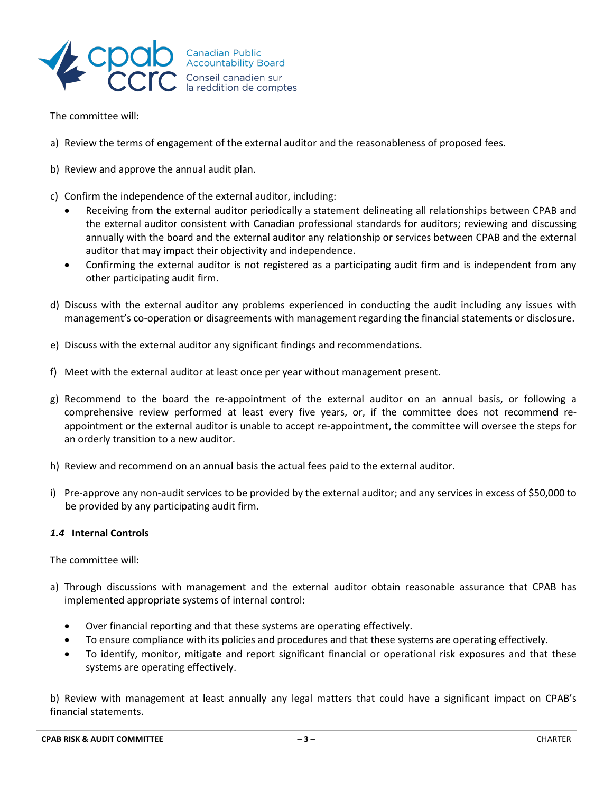

The committee will:

- a) Review the terms of engagement of the external auditor and the reasonableness of proposed fees.
- b) Review and approve the annual audit plan.
- c) Confirm the independence of the external auditor, including:
	- Receiving from the external auditor periodically a statement delineating all relationships between CPAB and the external auditor consistent with Canadian professional standards for auditors; reviewing and discussing annually with the board and the external auditor any relationship or services between CPAB and the external auditor that may impact their objectivity and independence.
	- Confirming the external auditor is not registered as a participating audit firm and is independent from any other participating audit firm.
- d) Discuss with the external auditor any problems experienced in conducting the audit including any issues with management's co-operation or disagreements with management regarding the financial statements or disclosure.
- e) Discuss with the external auditor any significant findings and recommendations.
- f) Meet with the external auditor at least once per year without management present.
- g) Recommend to the board the re-appointment of the external auditor on an annual basis, or following a comprehensive review performed at least every five years, or, if the committee does not recommend reappointment or the external auditor is unable to accept re-appointment, the committee will oversee the steps for an orderly transition to a new auditor.
- h) Review and recommend on an annual basis the actual fees paid to the external auditor.
- i) Pre-approve any non-audit services to be provided by the external auditor; and any services in excess of \$50,000 to be provided by any participating audit firm.

## *1.4* **Internal Controls**

The committee will:

- a) Through discussions with management and the external auditor obtain reasonable assurance that CPAB has implemented appropriate systems of internal control:
	- Over financial reporting and that these systems are operating effectively.
	- To ensure compliance with its policies and procedures and that these systems are operating effectively.
	- To identify, monitor, mitigate and report significant financial or operational risk exposures and that these systems are operating effectively.

b) Review with management at least annually any legal matters that could have a significant impact on CPAB's financial statements.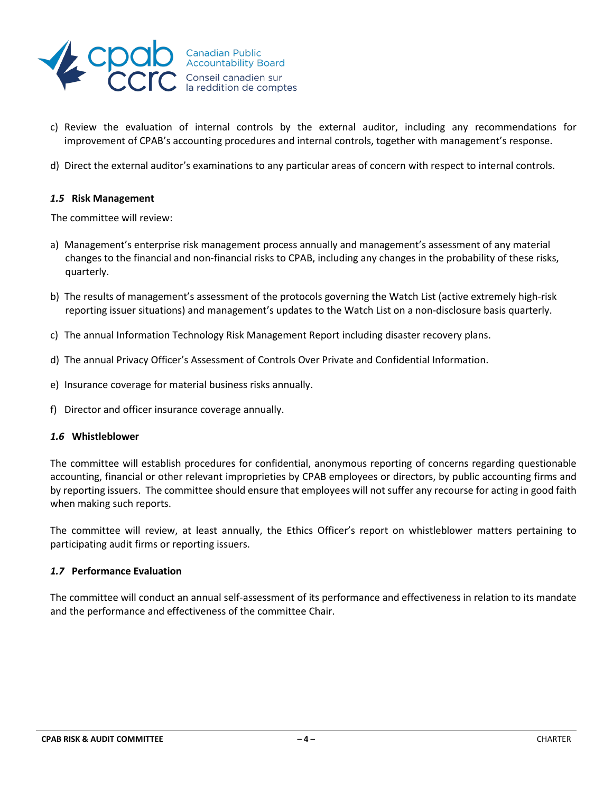

- c) Review the evaluation of internal controls by the external auditor, including any recommendations for improvement of CPAB's accounting procedures and internal controls, together with management's response.
- d) Direct the external auditor's examinations to any particular areas of concern with respect to internal controls.

#### *1.5* **Risk Management**

The committee will review:

- a) Management's enterprise risk management process annually and management's assessment of any material changes to the financial and non-financial risks to CPAB, including any changes in the probability of these risks, quarterly.
- b) The results of management's assessment of the protocols governing the Watch List (active extremely high-risk reporting issuer situations) and management's updates to the Watch List on a non-disclosure basis quarterly.
- c) The annual Information Technology Risk Management Report including disaster recovery plans.
- d) The annual Privacy Officer's Assessment of Controls Over Private and Confidential Information.
- e) Insurance coverage for material business risks annually.
- f) Director and officer insurance coverage annually.

#### *1.6* **Whistleblower**

The committee will establish procedures for confidential, anonymous reporting of concerns regarding questionable accounting, financial or other relevant improprieties by CPAB employees or directors, by public accounting firms and by reporting issuers. The committee should ensure that employees will not suffer any recourse for acting in good faith when making such reports.

The committee will review, at least annually, the Ethics Officer's report on whistleblower matters pertaining to participating audit firms or reporting issuers.

#### *1.7* **Performance Evaluation**

The committee will conduct an annual self-assessment of its performance and effectiveness in relation to its mandate and the performance and effectiveness of the committee Chair.